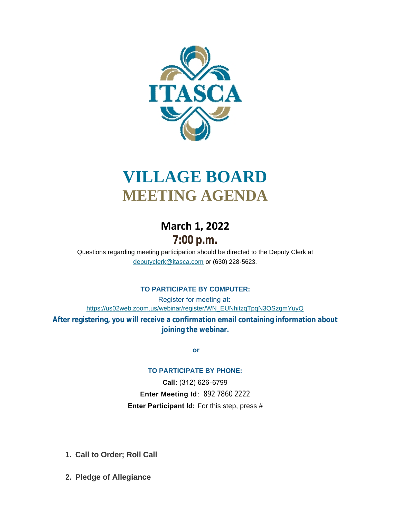

# **VILLAGE BOARD MEETING AGENDA**

# **March 1, 2022 7:00 p.m.**

[Questions regarding meeting participation sho](mailto:deputyclerk@itasca.com)uld be directed to the Deputy Clerk at deputyclerk@itasca.com or (630) 228-5623.

# **TO PARTICIPATE BY COMPUTER:**

Register for meeting at: [https://us02web.zoom.us/webinar/register/WN\\_EUNhitzqTpqN3QSzgmYuyQ](https://us02web.zoom.us/webinar/register/WN_EUNhitzqTpqN3QSzgmYuyQ)

**After registering, you will receive a confirmation email containing information about joining the webinar.**

 **or**

#### **TO PARTICIPATE BY PHONE:**

**Call**: (312) 626-6799 **Enter Meeting Id**: 892 7860 2222 **Enter Participant Id:** For this step, press #

- **Call to Order; Roll Call 1.**
- **Pledge of Allegiance 2.**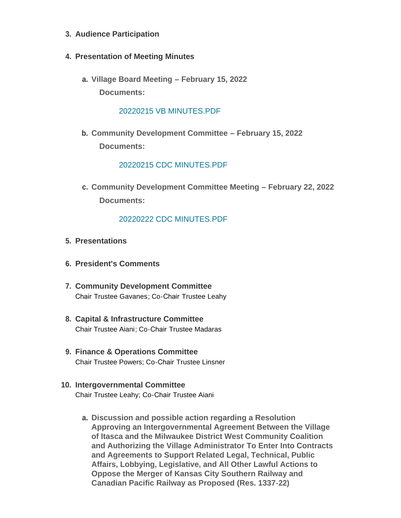- **Audience Participation 3.**
- **Presentation of Meeting Minutes 4.**
	- **Village Board Meeting – February 15, 2022 a. Documents:**

#### [20220215 VB MINUTES.PDF](http://www.itasca.com/AgendaCenter/ViewFile/Item/7448?fileID=9414)

**Community Development Committee – February 15, 2022 b. Documents:**

#### [20220215 CDC MINUTES.PDF](http://www.itasca.com/AgendaCenter/ViewFile/Item/7449?fileID=9415)

**c. Community Development Committee Meeting - February 22, 2022 Documents:**

#### [20220222 CDC MINUTES.PDF](http://www.itasca.com/AgendaCenter/ViewFile/Item/7450?fileID=9416)

- **Presentations 5.**
- **President's Comments 6.**
- **Community Development Committee 7.** Chair Trustee Gavanes; Co-Chair Trustee Leahy
- **Capital & Infrastructure Committee 8.** Chair Trustee Aiani; Co-Chair Trustee Madaras
- **Finance & Operations Committee 9.** Chair Trustee Powers; Co-Chair Trustee Linsner
- **Intergovernmental Committee 10.** Chair Trustee Leahy; Co-Chair Trustee Aiani
	- **Discussion and possible action regarding a Resolution a. Approving an Intergovernmental Agreement Between the Village of Itasca and the Milwaukee District West Community Coalition and Authorizing the Village Administrator To Enter Into Contracts and Agreements to Support Related Legal, Technical, Public Affairs, Lobbying, Legislative, and All Other Lawful Actions to Oppose the Merger of Kansas City Southern Railway and Canadian Pacific Railway as Proposed (Res. 1337-22)**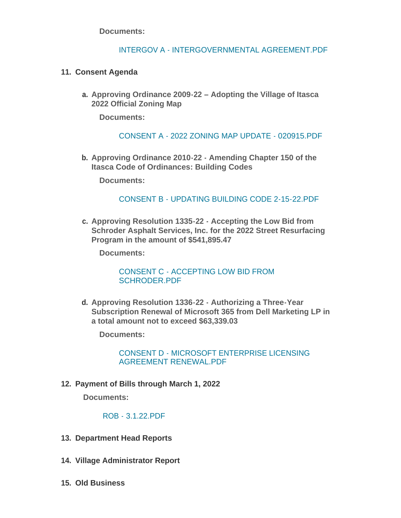**Documents:**

### INTERGOV A - [INTERGOVERNMENTAL AGREEMENT.PDF](http://www.itasca.com/AgendaCenter/ViewFile/Item/7495?fileID=9427)

# **Consent Agenda 11.**

**Approving Ordinance 2009-22 – Adopting the Village of Itasca a. 2022 Official Zoning Map** 

**Documents:**

#### CONSENT A - [2022 ZONING MAP UPDATE -](http://www.itasca.com/AgendaCenter/ViewFile/Item/7451?fileID=9417) 020915.PDF

**Approving Ordinance 2010-22 - Amending Chapter 150 of the b. Itasca Code of Ordinances: Building Codes**

**Documents:**

# [CONSENT B - UPDATING BUILDING CODE 2-15-22.PDF](http://www.itasca.com/AgendaCenter/ViewFile/Item/7452?fileID=9418)

**Approving Resolution 1335-22 - Accepting the Low Bid from c. Schroder Asphalt Services, Inc. for the 2022 Street Resurfacing Program in the amount of \$541,895.47**

**Documents:**

[CONSENT C - ACCEPTING LOW BID FROM](http://www.itasca.com/AgendaCenter/ViewFile/Item/7453?fileID=9419)  SCHRODER.PDF

**Approving Resolution 1336-22 - Authorizing a Three-Year d. Subscription Renewal of Microsoft 365 from Dell Marketing LP in a total amount not to exceed \$63,339.03**

**Documents:**

[CONSENT D - MICROSOFT ENTERPRISE LICENSING](http://www.itasca.com/AgendaCenter/ViewFile/Item/7454?fileID=9420)  AGREEMENT RENEWAL.PDF

**Payment of Bills through March 1, 2022 12.**

**Documents:**

[ROB - 3.1.22.PDF](http://www.itasca.com/AgendaCenter/ViewFile/Item/7456?fileID=9428)

- **13. Department Head Reports**
- **Village Administrator Report 14.**
- **Old Business 15.**